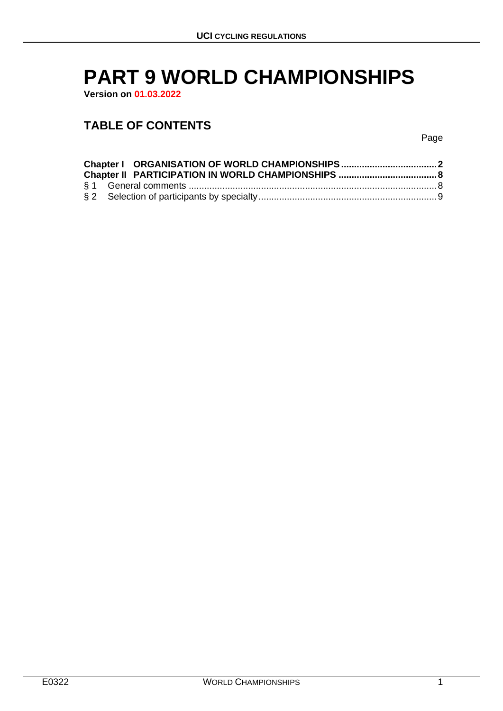# **PART 9 WORLD CHAMPIONSHIPS**

**Version on 01.03.2022**

# **TABLE OF CONTENTS**

Page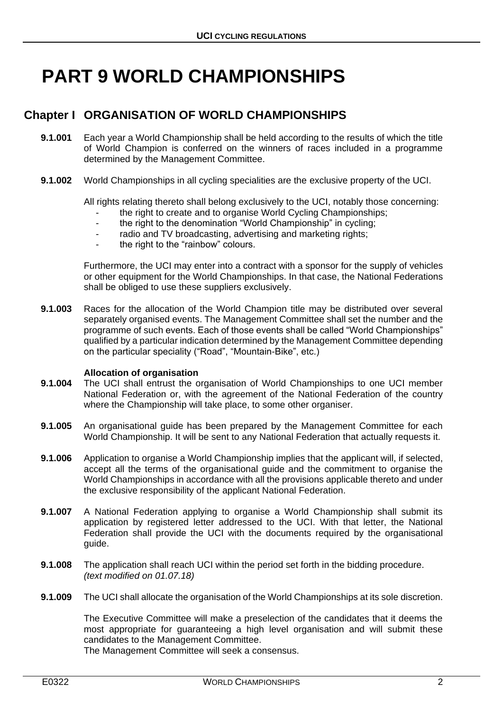# **PART 9 WORLD CHAMPIONSHIPS**

# <span id="page-1-0"></span>**Chapter I ORGANISATION OF WORLD CHAMPIONSHIPS**

- **9.1.001** Each year a World Championship shall be held according to the results of which the title of World Champion is conferred on the winners of races included in a programme determined by the Management Committee.
- **9.1.002** World Championships in all cycling specialities are the exclusive property of the UCI.

All rights relating thereto shall belong exclusively to the UCI, notably those concerning:

- the right to create and to organise World Cycling Championships;
- the right to the denomination "World Championship" in cycling;
- radio and TV broadcasting, advertising and marketing rights;
- the right to the "rainbow" colours.

Furthermore, the UCI may enter into a contract with a sponsor for the supply of vehicles or other equipment for the World Championships. In that case, the National Federations shall be obliged to use these suppliers exclusively.

**9.1.003** Races for the allocation of the World Champion title may be distributed over several separately organised events. The Management Committee shall set the number and the programme of such events. Each of those events shall be called "World Championships" qualified by a particular indication determined by the Management Committee depending on the particular speciality ("Road", "Mountain-Bike", etc.)

#### **Allocation of organisation**

- **9.1.004** The UCI shall entrust the organisation of World Championships to one UCI member National Federation or, with the agreement of the National Federation of the country where the Championship will take place, to some other organiser.
- **9.1.005** An organisational guide has been prepared by the Management Committee for each World Championship. It will be sent to any National Federation that actually requests it.
- **9.1.006** Application to organise a World Championship implies that the applicant will, if selected, accept all the terms of the organisational guide and the commitment to organise the World Championships in accordance with all the provisions applicable thereto and under the exclusive responsibility of the applicant National Federation.
- **9.1.007** A National Federation applying to organise a World Championship shall submit its application by registered letter addressed to the UCI. With that letter, the National Federation shall provide the UCI with the documents required by the organisational guide.
- **9.1.008** The application shall reach UCI within the period set forth in the bidding procedure. *(text modified on 01.07.18)*
- **9.1.009** The UCI shall allocate the organisation of the World Championships at its sole discretion.

The Executive Committee will make a preselection of the candidates that it deems the most appropriate for guaranteeing a high level organisation and will submit these candidates to the Management Committee.

The Management Committee will seek a consensus.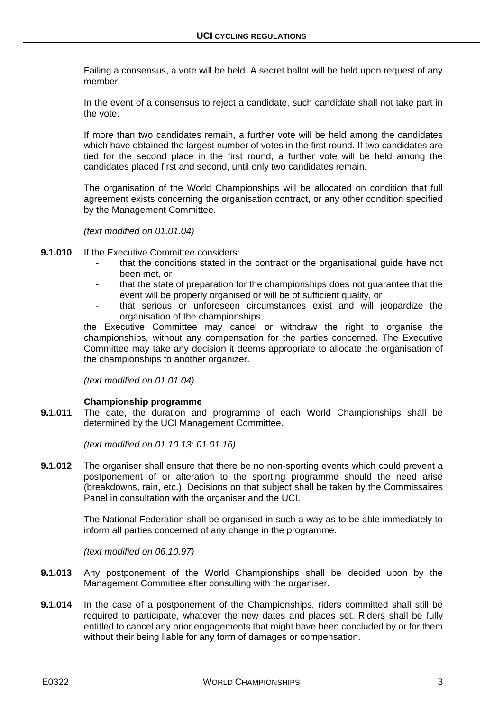Failing a consensus, a vote will be held. A secret ballot will be held upon request of any member.

In the event of a consensus to reject a candidate, such candidate shall not take part in the vote.

If more than two candidates remain, a further vote will be held among the candidates which have obtained the largest number of votes in the first round. If two candidates are tied for the second place in the first round, a further vote will be held among the candidates placed first and second, until only two candidates remain.

The organisation of the World Championships will be allocated on condition that full agreement exists concerning the organisation contract, or any other condition specified by the Management Committee.

*(text modified on 01.01.04)*

- **9.1.010** If the Executive Committee considers:
	- that the conditions stated in the contract or the organisational guide have not been met, or
	- that the state of preparation for the championships does not guarantee that the event will be properly organised or will be of sufficient quality, or
	- that serious or unforeseen circumstances exist and will jeopardize the organisation of the championships,

the Executive Committee may cancel or withdraw the right to organise the championships, without any compensation for the parties concerned. The Executive Committee may take any decision it deems appropriate to allocate the organisation of the championships to another organizer.

*(text modified on 01.01.04)*

# **Championship programme**

**9.1.011** The date, the duration and programme of each World Championships shall be determined by the UCI Management Committee.

*(text modified on 01.10.13; 01.01.16)*

**9.1.012** The organiser shall ensure that there be no non-sporting events which could prevent a postponement of or alteration to the sporting programme should the need arise (breakdowns, rain, etc.). Decisions on that subject shall be taken by the Commissaires Panel in consultation with the organiser and the UCI.

> The National Federation shall be organised in such a way as to be able immediately to inform all parties concerned of any change in the programme.

*(text modified on 06.10.97)*

- **9.1.013** Any postponement of the World Championships shall be decided upon by the Management Committee after consulting with the organiser.
- **9.1.014** In the case of a postponement of the Championships, riders committed shall still be required to participate, whatever the new dates and places set. Riders shall be fully entitled to cancel any prior engagements that might have been concluded by or for them without their being liable for any form of damages or compensation.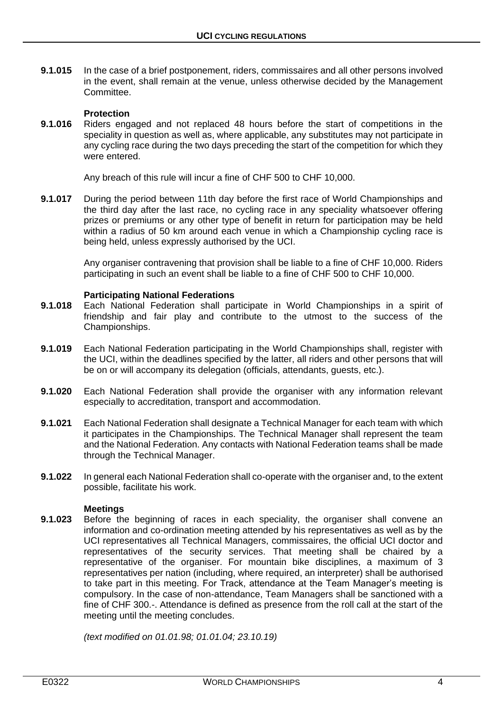**9.1.015** In the case of a brief postponement, riders, commissaires and all other persons involved in the event, shall remain at the venue, unless otherwise decided by the Management Committee.

#### **Protection**

**9.1.016** Riders engaged and not replaced 48 hours before the start of competitions in the speciality in question as well as, where applicable, any substitutes may not participate in any cycling race during the two days preceding the start of the competition for which they were entered.

Any breach of this rule will incur a fine of CHF 500 to CHF 10,000.

**9.1.017** During the period between 11th day before the first race of World Championships and the third day after the last race, no cycling race in any speciality whatsoever offering prizes or premiums or any other type of benefit in return for participation may be held within a radius of 50 km around each venue in which a Championship cycling race is being held, unless expressly authorised by the UCI.

> Any organiser contravening that provision shall be liable to a fine of CHF 10,000. Riders participating in such an event shall be liable to a fine of CHF 500 to CHF 10,000.

#### **Participating National Federations**

- **9.1.018** Each National Federation shall participate in World Championships in a spirit of friendship and fair play and contribute to the utmost to the success of the Championships.
- **9.1.019** Each National Federation participating in the World Championships shall, register with the UCI, within the deadlines specified by the latter, all riders and other persons that will be on or will accompany its delegation (officials, attendants, guests, etc.).
- **9.1.020** Each National Federation shall provide the organiser with any information relevant especially to accreditation, transport and accommodation.
- **9.1.021** Each National Federation shall designate a Technical Manager for each team with which it participates in the Championships. The Technical Manager shall represent the team and the National Federation. Any contacts with National Federation teams shall be made through the Technical Manager.
- **9.1.022** In general each National Federation shall co-operate with the organiser and, to the extent possible, facilitate his work.

#### **Meetings**

**9.1.023** Before the beginning of races in each speciality, the organiser shall convene an information and co-ordination meeting attended by his representatives as well as by the UCI representatives all Technical Managers, commissaires, the official UCI doctor and representatives of the security services. That meeting shall be chaired by a representative of the organiser. For mountain bike disciplines, a maximum of 3 representatives per nation (including, where required, an interpreter) shall be authorised to take part in this meeting. For Track, attendance at the Team Manager's meeting is compulsory. In the case of non-attendance, Team Managers shall be sanctioned with a fine of CHF 300.-. Attendance is defined as presence from the roll call at the start of the meeting until the meeting concludes.

*(text modified on 01.01.98; 01.01.04; 23.10.19)*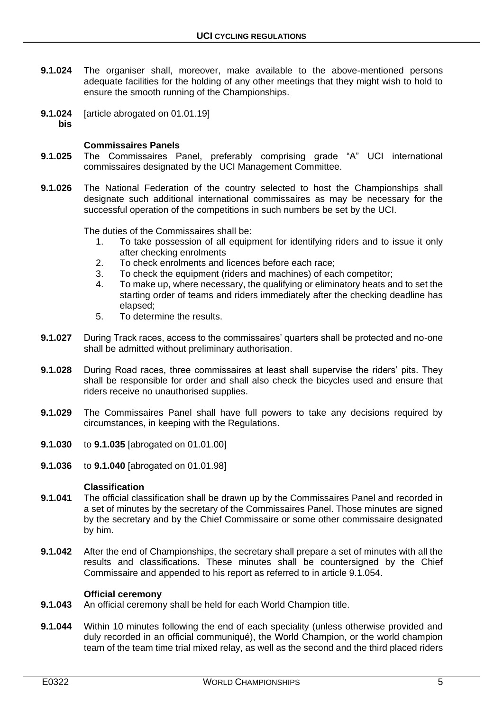- **9.1.024** The organiser shall, moreover, make available to the above-mentioned persons adequate facilities for the holding of any other meetings that they might wish to hold to ensure the smooth running of the Championships.
- **9.1.024** [article abrogated on 01.01.19]
	- **bis**

# **Commissaires Panels**

- **9.1.025** The Commissaires Panel, preferably comprising grade "A" UCI international commissaires designated by the UCI Management Committee.
- **9.1.026** The National Federation of the country selected to host the Championships shall designate such additional international commissaires as may be necessary for the successful operation of the competitions in such numbers be set by the UCI.

The duties of the Commissaires shall be:

- 1. To take possession of all equipment for identifying riders and to issue it only after checking enrolments
- 2. To check enrolments and licences before each race;
- 3. To check the equipment (riders and machines) of each competitor;
- 4. To make up, where necessary, the qualifying or eliminatory heats and to set the starting order of teams and riders immediately after the checking deadline has elapsed;
- 5. To determine the results.
- **9.1.027** During Track races, access to the commissaires' quarters shall be protected and no-one shall be admitted without preliminary authorisation.
- **9.1.028** During Road races, three commissaires at least shall supervise the riders' pits. They shall be responsible for order and shall also check the bicycles used and ensure that riders receive no unauthorised supplies.
- **9.1.029** The Commissaires Panel shall have full powers to take any decisions required by circumstances, in keeping with the Regulations.
- **9.1.030** to **9.1.035** [abrogated on 01.01.00]
- **9.1.036** to **9.1.040** [abrogated on 01.01.98]

#### **Classification**

- **9.1.041** The official classification shall be drawn up by the Commissaires Panel and recorded in a set of minutes by the secretary of the Commissaires Panel. Those minutes are signed by the secretary and by the Chief Commissaire or some other commissaire designated by him.
- **9.1.042** After the end of Championships, the secretary shall prepare a set of minutes with all the results and classifications. These minutes shall be countersigned by the Chief Commissaire and appended to his report as referred to in article 9.1.054.

#### **Official ceremony**

- **9.1.043** An official ceremony shall be held for each World Champion title.
- **9.1.044** Within 10 minutes following the end of each speciality (unless otherwise provided and duly recorded in an official communiqué), the World Champion, or the world champion team of the team time trial mixed relay, as well as the second and the third placed riders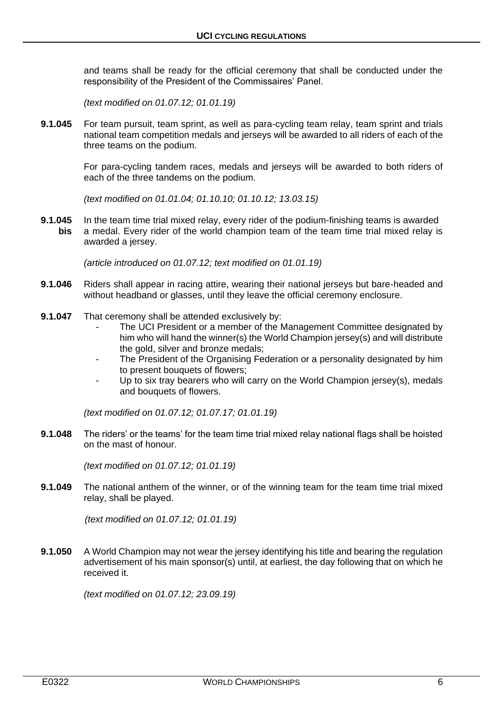and teams shall be ready for the official ceremony that shall be conducted under the responsibility of the President of the Commissaires' Panel.

*(text modified on 01.07.12; 01.01.19)*

**9.1.045** For team pursuit, team sprint, as well as para-cycling team relay, team sprint and trials national team competition medals and jerseys will be awarded to all riders of each of the three teams on the podium.

> For para-cycling tandem races, medals and jerseys will be awarded to both riders of each of the three tandems on the podium.

*(text modified on 01.01.04; 01.10.10; 01.10.12; 13.03.15)*

**9.1.045** In the team time trial mixed relay, every rider of the podium-finishing teams is awarded **bis** a medal. Every rider of the world champion team of the team time trial mixed relay is awarded a jersey.

*(article introduced on 01.07.12; text modified on 01.01.19)*

- **9.1.046** Riders shall appear in racing attire, wearing their national jerseys but bare-headed and without headband or glasses, until they leave the official ceremony enclosure.
- **9.1.047** That ceremony shall be attended exclusively by:
	- The UCI President or a member of the Management Committee designated by him who will hand the winner(s) the World Champion jersey(s) and will distribute the gold, silver and bronze medals;
	- The President of the Organising Federation or a personality designated by him to present bouquets of flowers;
	- Up to six tray bearers who will carry on the World Champion jersey(s), medals and bouquets of flowers.

*(text modified on 01.07.12; 01.07.17; 01.01.19)*

**9.1.048** The riders' or the teams' for the team time trial mixed relay national flags shall be hoisted on the mast of honour.

*(text modified on 01.07.12; 01.01.19)*

**9.1.049** The national anthem of the winner, or of the winning team for the team time trial mixed relay, shall be played.

*(text modified on 01.07.12; 01.01.19)*

**9.1.050** A World Champion may not wear the jersey identifying his title and bearing the regulation advertisement of his main sponsor(s) until, at earliest, the day following that on which he received it.

*(text modified on 01.07.12; 23.09.19)*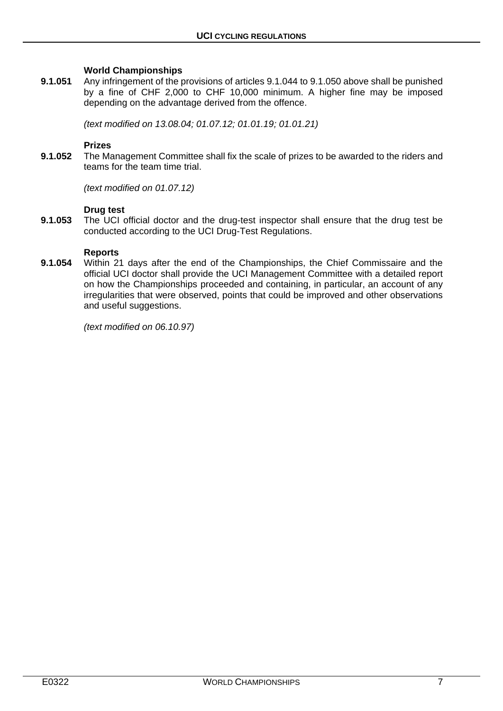#### **World Championships**

**9.1.051** Any infringement of the provisions of articles 9.1.044 to 9.1.050 above shall be punished by a fine of CHF 2,000 to CHF 10,000 minimum. A higher fine may be imposed depending on the advantage derived from the offence.

*(text modified on 13.08.04; 01.07.12; 01.01.19; 01.01.21)*

#### **Prizes**

**9.1.052** The Management Committee shall fix the scale of prizes to be awarded to the riders and teams for the team time trial.

*(text modified on 01.07.12)*

#### **Drug test**

**9.1.053** The UCI official doctor and the drug-test inspector shall ensure that the drug test be conducted according to the UCI Drug-Test Regulations.

#### **Reports**

**9.1.054** Within 21 days after the end of the Championships, the Chief Commissaire and the official UCI doctor shall provide the UCI Management Committee with a detailed report on how the Championships proceeded and containing, in particular, an account of any irregularities that were observed, points that could be improved and other observations and useful suggestions.

*(text modified on 06.10.97)*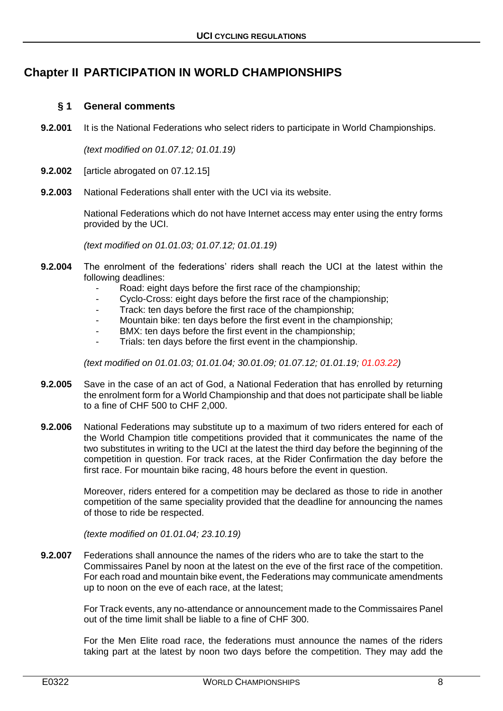# <span id="page-7-0"></span>**Chapter II PARTICIPATION IN WORLD CHAMPIONSHIPS**

# <span id="page-7-1"></span>**§ 1 General comments**

**9.2.001** It is the National Federations who select riders to participate in World Championships.

*(text modified on 01.07.12; 01.01.19)*

- **9.2.002** [article abrogated on 07.12.15]
- **9.2.003** National Federations shall enter with the UCI via its website.

National Federations which do not have Internet access may enter using the entry forms provided by the UCI.

*(text modified on 01.01.03; 01.07.12; 01.01.19)*

- **9.2.004** The enrolment of the federations' riders shall reach the UCI at the latest within the following deadlines:
	- Road: eight days before the first race of the championship;
	- Cyclo-Cross: eight days before the first race of the championship:
	- Track: ten days before the first race of the championship;
	- Mountain bike: ten days before the first event in the championship;
	- BMX: ten days before the first event in the championship;
	- Trials: ten days before the first event in the championship.

*(text modified on 01.01.03; 01.01.04; 30.01.09; 01.07.12; 01.01.19; 01.03.22)*

- **9.2.005** Save in the case of an act of God, a National Federation that has enrolled by returning the enrolment form for a World Championship and that does not participate shall be liable to a fine of CHF 500 to CHF 2,000.
- **9.2.006** National Federations may substitute up to a maximum of two riders entered for each of the World Champion title competitions provided that it communicates the name of the two substitutes in writing to the UCI at the latest the third day before the beginning of the competition in question. For track races, at the Rider Confirmation the day before the first race. For mountain bike racing, 48 hours before the event in question.

Moreover, riders entered for a competition may be declared as those to ride in another competition of the same speciality provided that the deadline for announcing the names of those to ride be respected.

*(texte modified on 01.01.04; 23.10.19)*

**9.2.007** Federations shall announce the names of the riders who are to take the start to the Commissaires Panel by noon at the latest on the eve of the first race of the competition. For each road and mountain bike event, the Federations may communicate amendments up to noon on the eve of each race, at the latest;

> For Track events, any no-attendance or announcement made to the Commissaires Panel out of the time limit shall be liable to a fine of CHF 300.

> For the Men Elite road race, the federations must announce the names of the riders taking part at the latest by noon two days before the competition. They may add the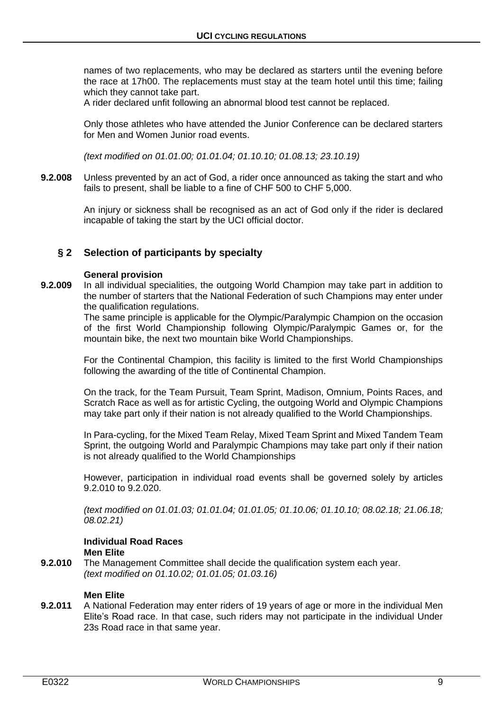names of two replacements, who may be declared as starters until the evening before the race at 17h00. The replacements must stay at the team hotel until this time; failing which they cannot take part.

A rider declared unfit following an abnormal blood test cannot be replaced.

Only those athletes who have attended the Junior Conference can be declared starters for Men and Women Junior road events.

*(text modified on 01.01.00; 01.01.04; 01.10.10; 01.08.13; 23.10.19)*

**9.2.008** Unless prevented by an act of God, a rider once announced as taking the start and who fails to present, shall be liable to a fine of CHF 500 to CHF 5,000.

> An injury or sickness shall be recognised as an act of God only if the rider is declared incapable of taking the start by the UCI official doctor.

# <span id="page-8-0"></span>**§ 2 Selection of participants by specialty**

#### **General provision**

**9.2.009** In all individual specialities, the outgoing World Champion may take part in addition to the number of starters that the National Federation of such Champions may enter under the qualification regulations.

The same principle is applicable for the Olympic/Paralympic Champion on the occasion of the first World Championship following Olympic/Paralympic Games or, for the mountain bike, the next two mountain bike World Championships.

For the Continental Champion, this facility is limited to the first World Championships following the awarding of the title of Continental Champion.

On the track, for the Team Pursuit, Team Sprint, Madison, Omnium, Points Races, and Scratch Race as well as for artistic Cycling, the outgoing World and Olympic Champions may take part only if their nation is not already qualified to the World Championships.

In Para-cycling, for the Mixed Team Relay, Mixed Team Sprint and Mixed Tandem Team Sprint, the outgoing World and Paralympic Champions may take part only if their nation is not already qualified to the World Championships

However, participation in individual road events shall be governed solely by articles 9.2.010 to 9.2.020.

*(text modified on 01.01.03; 01.01.04; 01.01.05; 01.10.06; 01.10.10; 08.02.18; 21.06.18; 08.02.21)*

#### **Individual Road Races Men Elite**

**9.2.010** The Management Committee shall decide the qualification system each year. *(text modified on 01.10.02; 01.01.05; 01.03.16)*

# **Men Elite**

**9.2.011** A National Federation may enter riders of 19 years of age or more in the individual Men Elite's Road race. In that case, such riders may not participate in the individual Under 23s Road race in that same year.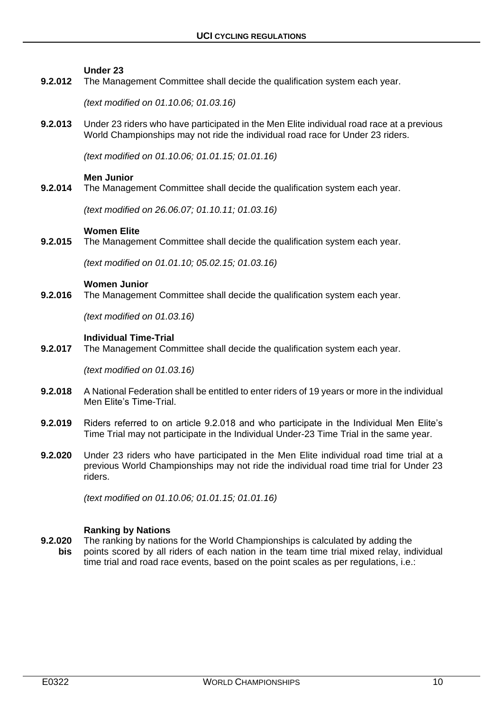#### **Under 23**

**9.2.012** The Management Committee shall decide the qualification system each year.

*(text modified on 01.10.06; 01.03.16)*

**9.2.013** Under 23 riders who have participated in the Men Elite individual road race at a previous World Championships may not ride the individual road race for Under 23 riders.

*(text modified on 01.10.06; 01.01.15; 01.01.16)*

#### **Men Junior**

**9.2.014** The Management Committee shall decide the qualification system each year.

*(text modified on 26.06.07; 01.10.11; 01.03.16)*

#### **Women Elite**

**9.2.015** The Management Committee shall decide the qualification system each year.

*(text modified on 01.01.10; 05.02.15; 01.03.16)*

#### **Women Junior**

**9.2.016** The Management Committee shall decide the qualification system each year.

*(text modified on 01.03.16)*

#### **Individual Time-Trial**

**9.2.017** The Management Committee shall decide the qualification system each year.

*(text modified on 01.03.16)*

- **9.2.018** A National Federation shall be entitled to enter riders of 19 years or more in the individual Men Elite's Time-Trial.
- **9.2.019** Riders referred to on article 9.2.018 and who participate in the Individual Men Elite's Time Trial may not participate in the Individual Under-23 Time Trial in the same year.
- **9.2.020** Under 23 riders who have participated in the Men Elite individual road time trial at a previous World Championships may not ride the individual road time trial for Under 23 riders.

*(text modified on 01.10.06; 01.01.15; 01.01.16)*

#### **Ranking by Nations**

**9.2.020** The ranking by nations for the World Championships is calculated by adding the **bis** points scored by all riders of each nation in the team time trial mixed relay, individual time trial and road race events, based on the point scales as per regulations, i.e.: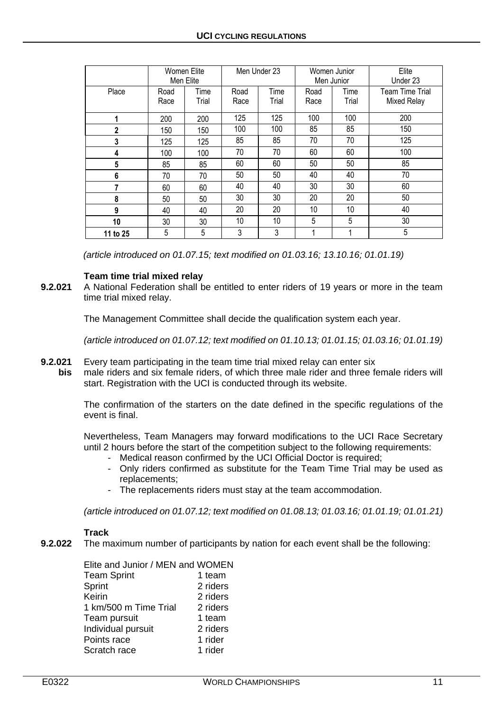|                |              | Women Elite<br>Men Elite | Men Under 23 |               | Women Junior<br>Men Junior |               | Elite<br>Under 23              |  |
|----------------|--------------|--------------------------|--------------|---------------|----------------------------|---------------|--------------------------------|--|
| Place          | Road<br>Race | Time<br>Trial            | Road<br>Race | Time<br>Trial |                            | Time<br>Trial | Team Time Trial<br>Mixed Relay |  |
| 1              | 200          | 200                      | 125          | 125           | 100                        | 100           | 200                            |  |
| $\overline{2}$ | 150          | 150                      | 100          | 100           | 85                         | 85            | 150                            |  |
| 3              | 125          | 125                      | 85           | 85            | 70                         | 70            | 125                            |  |
| 4              | 100          | 100                      | 70           | 70            | 60                         | 60            | 100                            |  |
| 5              | 85           | 85                       | 60           | 60            | 50                         | 50            | 85                             |  |
| 6              | 70           | 70                       | 50           | 50            | 40<br>40                   |               | 70                             |  |
| 7              | 60           | 60                       | 40           | 40            | 30                         | 30            | 60                             |  |
| 8              | 50           | 50                       | 30           | 30            | 20                         | 20            | 50                             |  |
| 9              | 40           | 20<br>20<br>40           |              |               | 10                         | 10            | 40                             |  |
| 10             | 30           | 30                       | 10           | 10            | 5<br>5                     |               | 30                             |  |
| 11 to 25       | 5            | 5                        | 3            | 3             |                            |               | 5                              |  |

*(article introduced on 01.07.15; text modified on 01.03.16; 13.10.16; 01.01.19)*

# **Team time trial mixed relay**

**9.2.021** A National Federation shall be entitled to enter riders of 19 years or more in the team time trial mixed relay.

The Management Committee shall decide the qualification system each year.

*(article introduced on 01.07.12; text modified on 01.10.13; 01.01.15; 01.03.16; 01.01.19)*

- **9.2.021** Every team participating in the team time trial mixed relay can enter six
	- **bis** male riders and six female riders, of which three male rider and three female riders will start. Registration with the UCI is conducted through its website.

The confirmation of the starters on the date defined in the specific regulations of the event is final.

Nevertheless, Team Managers may forward modifications to the UCI Race Secretary until 2 hours before the start of the competition subject to the following requirements:

- Medical reason confirmed by the UCI Official Doctor is required;
- Only riders confirmed as substitute for the Team Time Trial may be used as replacements;
- The replacements riders must stay at the team accommodation.

*(article introduced on 01.07.12; text modified on 01.08.13; 01.03.16; 01.01.19; 01.01.21)*

# **Track**

**9.2.022** The maximum number of participants by nation for each event shall be the following:

| Elite and Junior / MEN and WOMEN |          |
|----------------------------------|----------|
| <b>Team Sprint</b>               | 1 team   |
| Sprint                           | 2 riders |
| Keirin                           | 2 riders |
| 1 km/500 m Time Trial            | 2 riders |
| Team pursuit                     | 1 team   |
| Individual pursuit               | 2 riders |
| Points race                      | 1 rider  |
| Scratch race                     | 1 rider  |
|                                  |          |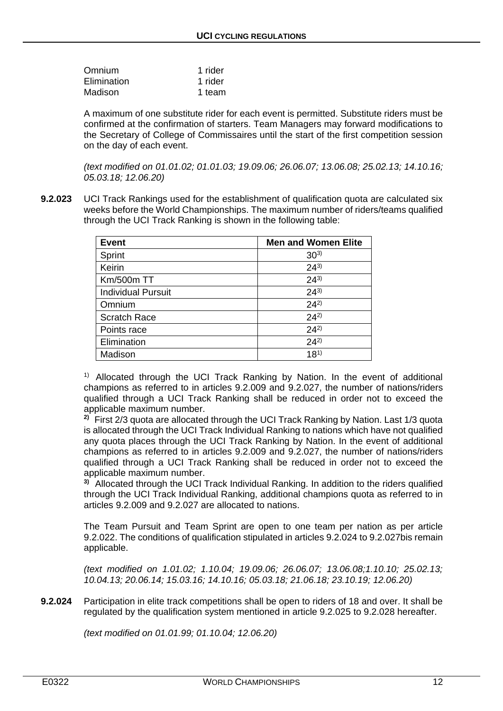| Omnium      | 1 rider |
|-------------|---------|
| Elimination | 1 rider |
| Madison     | 1 team  |

A maximum of one substitute rider for each event is permitted. Substitute riders must be confirmed at the confirmation of starters. Team Managers may forward modifications to the Secretary of College of Commissaires until the start of the first competition session on the day of each event.

*(text modified on 01.01.02; 01.01.03; 19.09.06; 26.06.07; 13.06.08; 25.02.13; 14.10.16; 05.03.18; 12.06.20)*

**9.2.023** UCI Track Rankings used for the establishment of qualification quota are calculated six weeks before the World Championships. The maximum number of riders/teams qualified through the UCI Track Ranking is shown in the following table:

| <b>Event</b>              | <b>Men and Women Elite</b> |
|---------------------------|----------------------------|
| Sprint                    | $30^{3}$                   |
| Keirin                    | $24^{3}$                   |
| Km/500m TT                | $24^{3}$                   |
| <b>Individual Pursuit</b> | $24^{3}$                   |
| Omnium                    | $24^{2}$                   |
| <b>Scratch Race</b>       | $24^{2}$                   |
| Points race               | $24^{2}$                   |
| Elimination               | $24^{2}$                   |
| Madison                   | $18^{1}$                   |

<sup>1)</sup> Allocated through the UCI Track Ranking by Nation. In the event of additional champions as referred to in articles 9.2.009 and 9.2.027, the number of nations/riders qualified through a UCI Track Ranking shall be reduced in order not to exceed the applicable maximum number.

**2)** First 2/3 quota are allocated through the UCI Track Ranking by Nation. Last 1/3 quota is allocated through the UCI Track Individual Ranking to nations which have not qualified any quota places through the UCI Track Ranking by Nation. In the event of additional champions as referred to in articles 9.2.009 and 9.2.027, the number of nations/riders qualified through a UCI Track Ranking shall be reduced in order not to exceed the applicable maximum number.

**3)** Allocated through the UCI Track Individual Ranking. In addition to the riders qualified through the UCI Track Individual Ranking, additional champions quota as referred to in articles 9.2.009 and 9.2.027 are allocated to nations.

The Team Pursuit and Team Sprint are open to one team per nation as per article 9.2.022. The conditions of qualification stipulated in articles 9.2.024 to 9.2.027bis remain applicable.

*(text modified on 1.01.02; 1.10.04; 19.09.06; 26.06.07; 13.06.08;1.10.10; 25.02.13; 10.04.13; 20.06.14; 15.03.16; 14.10.16; 05.03.18; 21.06.18; 23.10.19; 12.06.20)*

**9.2.024** Participation in elite track competitions shall be open to riders of 18 and over. It shall be regulated by the qualification system mentioned in article 9.2.025 to 9.2.028 hereafter.

*(text modified on 01.01.99; 01.10.04; 12.06.20)*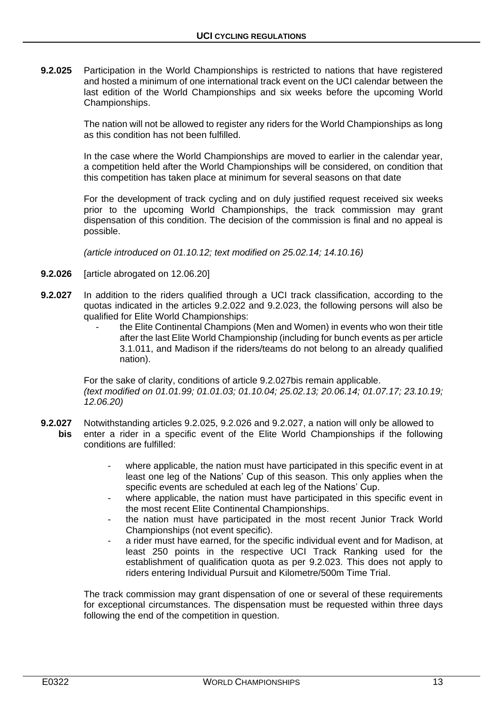**9.2.025** Participation in the World Championships is restricted to nations that have registered and hosted a minimum of one international track event on the UCI calendar between the last edition of the World Championships and six weeks before the upcoming World Championships.

> The nation will not be allowed to register any riders for the World Championships as long as this condition has not been fulfilled.

> In the case where the World Championships are moved to earlier in the calendar year, a competition held after the World Championships will be considered, on condition that this competition has taken place at minimum for several seasons on that date

> For the development of track cycling and on duly justified request received six weeks prior to the upcoming World Championships, the track commission may grant dispensation of this condition. The decision of the commission is final and no appeal is possible.

*(article introduced on 01.10.12; text modified on 25.02.14; 14.10.16)*

- **9.2.026** [article abrogated on 12.06.20]
- **9.2.027** In addition to the riders qualified through a UCI track classification, according to the quotas indicated in the articles 9.2.022 and 9.2.023, the following persons will also be qualified for Elite World Championships:
	- the Elite Continental Champions (Men and Women) in events who won their title after the last Elite World Championship (including for bunch events as per article 3.1.011, and Madison if the riders/teams do not belong to an already qualified nation).

For the sake of clarity, conditions of article 9.2.027bis remain applicable. *(text modified on 01.01.99; 01.01.03; 01.10.04; 25.02.13; 20.06.14; 01.07.17; 23.10.19; 12.06.20)*

- **9.2.027** Notwithstanding articles 9.2.025, 9.2.026 and 9.2.027, a nation will only be allowed to **bis** enter a rider in a specific event of the Elite World Championships if the following conditions are fulfilled:
	- where applicable, the nation must have participated in this specific event in at least one leg of the Nations' Cup of this season. This only applies when the specific events are scheduled at each leg of the Nations' Cup.
	- where applicable, the nation must have participated in this specific event in the most recent Elite Continental Championships.
	- the nation must have participated in the most recent Junior Track World Championships (not event specific).
	- a rider must have earned, for the specific individual event and for Madison, at least 250 points in the respective UCI Track Ranking used for the establishment of qualification quota as per 9.2.023. This does not apply to riders entering Individual Pursuit and Kilometre/500m Time Trial.

The track commission may grant dispensation of one or several of these requirements for exceptional circumstances. The dispensation must be requested within three days following the end of the competition in question.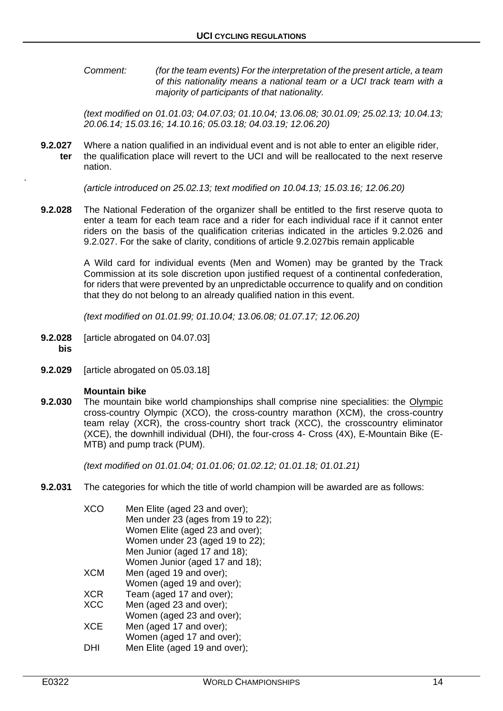*Comment: (for the team events) For the interpretation of the present article, a team of this nationality means a national team or a UCI track team with a majority of participants of that nationality.*

*(text modified on 01.01.03; 04.07.03; 01.10.04; 13.06.08; 30.01.09; 25.02.13; 10.04.13; 20.06.14; 15.03.16; 14.10.16; 05.03.18; 04.03.19; 12.06.20)*

**9.2.027** Where a nation qualified in an individual event and is not able to enter an eligible rider, **ter** the qualification place will revert to the UCI and will be reallocated to the next reserve nation.

*(article introduced on 25.02.13; text modified on 10.04.13; 15.03.16; 12.06.20)*

**9.2.028** The National Federation of the organizer shall be entitled to the first reserve quota to enter a team for each team race and a rider for each individual race if it cannot enter riders on the basis of the qualification criterias indicated in the articles 9.2.026 and 9.2.027. For the sake of clarity, conditions of article 9.2.027bis remain applicable

> A Wild card for individual events (Men and Women) may be granted by the Track Commission at its sole discretion upon justified request of a continental confederation, for riders that were prevented by an unpredictable occurrence to qualify and on condition that they do not belong to an already qualified nation in this event.

*(text modified on 01.01.99; 01.10.04; 13.06.08; 01.07.17; 12.06.20)*

- **9.2.028** [article abrogated on 04.07.03] **bis**
- 

.

**9.2.029** [article abrogated on 05.03.18]

#### **Mountain bike**

**9.2.030** The mountain bike world championships shall comprise nine specialities: the Olympic cross-country Olympic (XCO), the cross-country marathon (XCM), the cross-country team relay (XCR), the cross-country short track (XCC), the crosscountry eliminator (XCE), the downhill individual (DHI), the four-cross 4- Cross (4X), E-Mountain Bike (E-MTB) and pump track (PUM).

*(text modified on 01.01.04; 01.01.06; 01.02.12; 01.01.18; 01.01.21)*

**9.2.031** The categories for which the title of world champion will be awarded are as follows:

| XCC        | Men Elite (aged 23 and over);      |
|------------|------------------------------------|
|            | Men under 23 (ages from 19 to 22); |
|            | Women Elite (aged 23 and over);    |
|            | Women under 23 (aged 19 to 22);    |
|            | Men Junior (aged 17 and 18);       |
|            | Women Junior (aged 17 and 18);     |
| <b>XCM</b> | Men (aged 19 and over);            |
|            | Women (aged 19 and over);          |
| <b>XCR</b> | Team (aged 17 and over);           |
| <b>XCC</b> | Men (aged 23 and over);            |
|            | Women (aged 23 and over);          |
| <b>XCE</b> | Men (aged 17 and over);            |
|            | Women (aged 17 and over);          |
|            | Men Elite (aged 19 and over);      |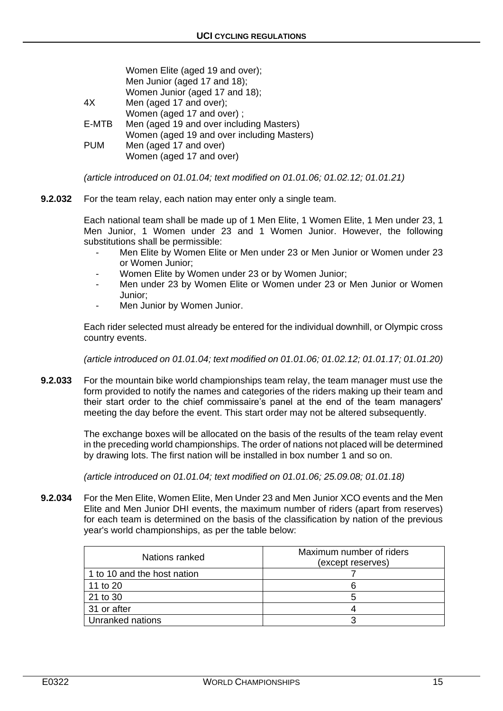|            | Women Elite (aged 19 and over);            |
|------------|--------------------------------------------|
|            | Men Junior (aged 17 and 18);               |
|            | Women Junior (aged 17 and 18);             |
| 4X         | Men (aged 17 and over);                    |
|            | Women (aged 17 and over);                  |
| E-MTB      | Men (aged 19 and over including Masters)   |
|            | Women (aged 19 and over including Masters) |
| <b>PUM</b> | Men (aged 17 and over)                     |
|            | Women (aged 17 and over)                   |
|            |                                            |

*(article introduced on 01.01.04; text modified on 01.01.06; 01.02.12; 01.01.21)*

**9.2.032** For the team relay, each nation may enter only a single team.

Each national team shall be made up of 1 Men Elite, 1 Women Elite, 1 Men under 23, 1 Men Junior, 1 Women under 23 and 1 Women Junior. However, the following substitutions shall be permissible:

- Men Elite by Women Elite or Men under 23 or Men Junior or Women under 23 or Women Junior;
- Women Elite by Women under 23 or by Women Junior;
- Men under 23 by Women Elite or Women under 23 or Men Junior or Women Junior;
- Men Junior by Women Junior.

Each rider selected must already be entered for the individual downhill, or Olympic cross country events.

*(article introduced on 01.01.04; text modified on 01.01.06; 01.02.12; 01.01.17; 01.01.20)*

**9.2.033** For the mountain bike world championships team relay, the team manager must use the form provided to notify the names and categories of the riders making up their team and their start order to the chief commissaire's panel at the end of the team managers' meeting the day before the event. This start order may not be altered subsequently.

> The exchange boxes will be allocated on the basis of the results of the team relay event in the preceding world championships. The order of nations not placed will be determined by drawing lots. The first nation will be installed in box number 1 and so on.

*(article introduced on 01.01.04; text modified on 01.01.06; 25.09.08; 01.01.18)*

**9.2.034** For the Men Elite, Women Elite, Men Under 23 and Men Junior XCO events and the Men Elite and Men Junior DHI events, the maximum number of riders (apart from reserves) for each team is determined on the basis of the classification by nation of the previous year's world championships, as per the table below:

| Nations ranked              | Maximum number of riders<br>(except reserves) |
|-----------------------------|-----------------------------------------------|
| 1 to 10 and the host nation |                                               |
| 11 to 20                    |                                               |
| 21 to 30                    |                                               |
| 31 or after                 |                                               |
| Unranked nations            |                                               |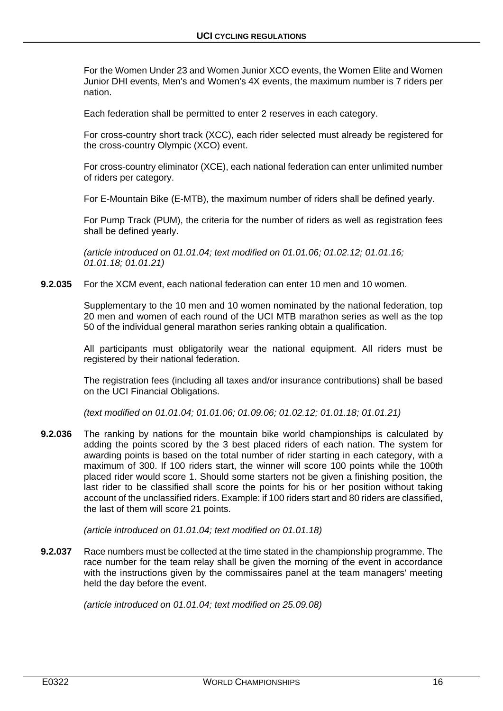For the Women Under 23 and Women Junior XCO events, the Women Elite and Women Junior DHI events, Men's and Women's 4X events, the maximum number is 7 riders per nation.

Each federation shall be permitted to enter 2 reserves in each category.

For cross-country short track (XCC), each rider selected must already be registered for the cross-country Olympic (XCO) event.

For cross-country eliminator (XCE), each national federation can enter unlimited number of riders per category.

For E-Mountain Bike (E-MTB), the maximum number of riders shall be defined yearly.

For Pump Track (PUM), the criteria for the number of riders as well as registration fees shall be defined yearly.

*(article introduced on 01.01.04; text modified on 01.01.06; 01.02.12; 01.01.16; 01.01.18; 01.01.21)*

**9.2.035** For the XCM event, each national federation can enter 10 men and 10 women.

Supplementary to the 10 men and 10 women nominated by the national federation, top 20 men and women of each round of the UCI MTB marathon series as well as the top 50 of the individual general marathon series ranking obtain a qualification.

All participants must obligatorily wear the national equipment. All riders must be registered by their national federation.

The registration fees (including all taxes and/or insurance contributions) shall be based on the UCI Financial Obligations.

*(text modified on 01.01.04; 01.01.06; 01.09.06; 01.02.12; 01.01.18; 01.01.21)*

**9.2.036** The ranking by nations for the mountain bike world championships is calculated by adding the points scored by the 3 best placed riders of each nation. The system for awarding points is based on the total number of rider starting in each category, with a maximum of 300. If 100 riders start, the winner will score 100 points while the 100th placed rider would score 1. Should some starters not be given a finishing position, the last rider to be classified shall score the points for his or her position without taking account of the unclassified riders. Example: if 100 riders start and 80 riders are classified, the last of them will score 21 points.

*(article introduced on 01.01.04; text modified on 01.01.18)*

**9.2.037** Race numbers must be collected at the time stated in the championship programme. The race number for the team relay shall be given the morning of the event in accordance with the instructions given by the commissaires panel at the team managers' meeting held the day before the event.

*(article introduced on 01.01.04; text modified on 25.09.08)*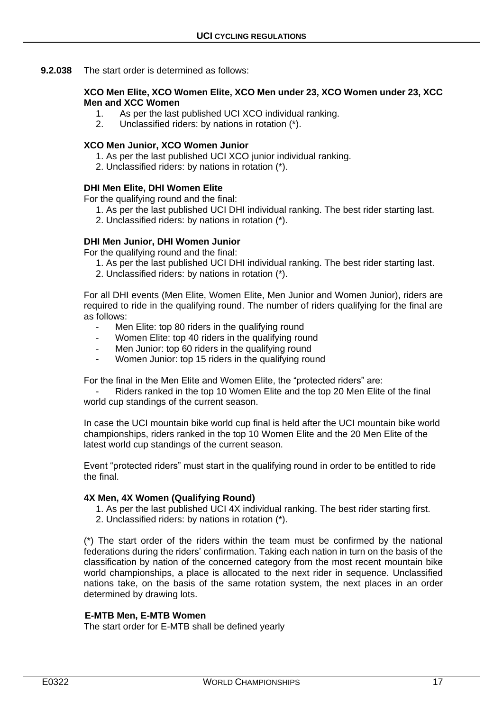**9.2.038** The start order is determined as follows:

#### **XCO Men Elite, XCO Women Elite, XCO Men under 23, XCO Women under 23, XCC Men and XCC Women**

- 1. As per the last published UCI XCO individual ranking.
- 2. Unclassified riders: by nations in rotation (\*).

#### **XCO Men Junior, XCO Women Junior**

- 1. As per the last published UCI XCO junior individual ranking.
- 2. Unclassified riders: by nations in rotation (\*).

#### **DHI Men Elite, DHI Women Elite**

For the qualifying round and the final:

- 1. As per the last published UCI DHI individual ranking. The best rider starting last.
- 2. Unclassified riders: by nations in rotation (\*).

#### **DHI Men Junior, DHI Women Junior**

For the qualifying round and the final:

- 1. As per the last published UCI DHI individual ranking. The best rider starting last.
- 2. Unclassified riders: by nations in rotation (\*).

For all DHI events (Men Elite, Women Elite, Men Junior and Women Junior), riders are required to ride in the qualifying round. The number of riders qualifying for the final are as follows:

- Men Elite: top 80 riders in the qualifying round
- Women Elite: top 40 riders in the qualifying round
- Men Junior: top 60 riders in the qualifying round
- Women Junior: top 15 riders in the qualifying round

For the final in the Men Elite and Women Elite, the "protected riders" are:

Riders ranked in the top 10 Women Elite and the top 20 Men Elite of the final world cup standings of the current season.

In case the UCI mountain bike world cup final is held after the UCI mountain bike world championships, riders ranked in the top 10 Women Elite and the 20 Men Elite of the latest world cup standings of the current season.

Event "protected riders" must start in the qualifying round in order to be entitled to ride the final.

#### **4X Men, 4X Women (Qualifying Round)**

- 1. As per the last published UCI 4X individual ranking. The best rider starting first.
- 2. Unclassified riders: by nations in rotation (\*).

(\*) The start order of the riders within the team must be confirmed by the national federations during the riders' confirmation. Taking each nation in turn on the basis of the classification by nation of the concerned category from the most recent mountain bike world championships, a place is allocated to the next rider in sequence. Unclassified nations take, on the basis of the same rotation system, the next places in an order determined by drawing lots.

# **E-MTB Men, E-MTB Women**

The start order for E-MTB shall be defined yearly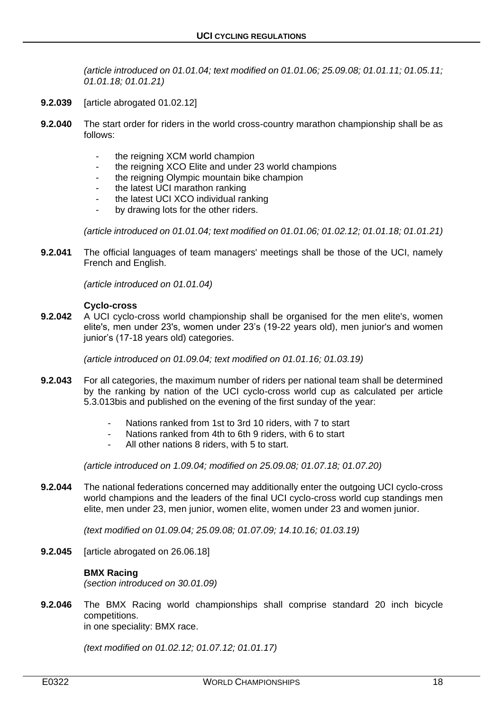*(article introduced on 01.01.04; text modified on 01.01.06; 25.09.08; 01.01.11; 01.05.11; 01.01.18; 01.01.21)*

- **9.2.039** [article abrogated 01.02.12]
- **9.2.040** The start order for riders in the world cross-country marathon championship shall be as follows:
	- the reigning XCM world champion
	- the reigning XCO Elite and under 23 world champions
	- the reigning Olympic mountain bike champion
	- the latest UCI marathon ranking
	- the latest UCI XCO individual ranking
	- by drawing lots for the other riders.

*(article introduced on 01.01.04; text modified on 01.01.06; 01.02.12; 01.01.18; 01.01.21)*

**9.2.041** The official languages of team managers' meetings shall be those of the UCI, namely French and English.

*(article introduced on 01.01.04)*

#### **Cyclo-cross**

**9.2.042** A UCI cyclo-cross world championship shall be organised for the men elite's, women elite's, men under 23's, women under 23's (19-22 years old), men junior's and women junior's (17-18 years old) categories.

*(article introduced on 01.09.04; text modified on 01.01.16; 01.03.19)*

- **9.2.043** For all categories, the maximum number of riders per national team shall be determined by the ranking by nation of the UCI cyclo-cross world cup as calculated per article 5.3.013bis and published on the evening of the first sunday of the year:
	- Nations ranked from 1st to 3rd 10 riders, with 7 to start
	- Nations ranked from 4th to 6th 9 riders, with 6 to start
	- All other nations 8 riders, with 5 to start.

*(article introduced on 1.09.04; modified on 25.09.08; 01.07.18; 01.07.20)*

**9.2.044** The national federations concerned may additionally enter the outgoing UCI cyclo-cross world champions and the leaders of the final UCI cyclo-cross world cup standings men elite, men under 23, men junior, women elite, women under 23 and women junior.

*(text modified on 01.09.04; 25.09.08; 01.07.09; 14.10.16; 01.03.19)*

**9.2.045** [article abrogated on 26.06.18]

# **BMX Racing**

*(section introduced on 30.01.09)*

**9.2.046** The BMX Racing world championships shall comprise standard 20 inch bicycle competitions.

in one speciality: BMX race.

*(text modified on 01.02.12; 01.07.12; 01.01.17)*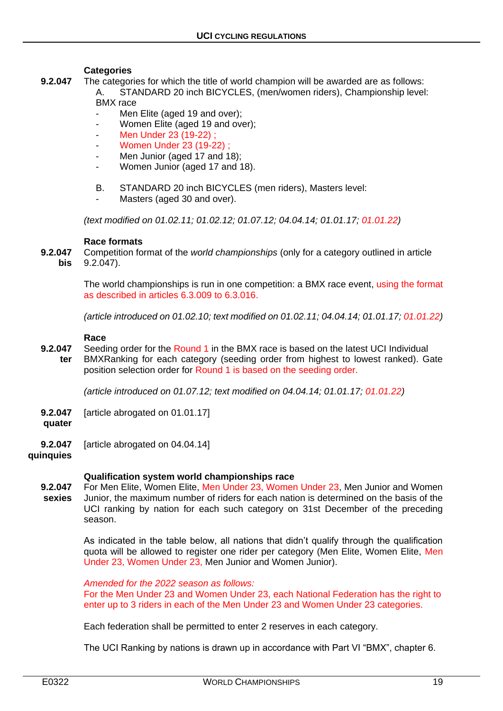#### **Categories**

- **9.2.047** The categories for which the title of world champion will be awarded are as follows: A. STANDARD 20 inch BICYCLES, (men/women riders), Championship level: BMX race
	- Men Elite (aged 19 and over);
	- Women Elite (aged 19 and over);
	- Men Under 23 (19-22) :
	- Women Under 23 (19-22) ;
	- Men Junior (aged 17 and 18):
	- Women Junior (aged 17 and 18).
	- B. STANDARD 20 inch BICYCLES (men riders), Masters level:
	- Masters (aged 30 and over).

*(text modified on 01.02.11; 01.02.12; 01.07.12; 04.04.14; 01.01.17; 01.01.22)*

#### **Race formats**

**9.2.047** Competition format of the *world championships* (only for a category outlined in article **bis** 9.2.047).

> The world championships is run in one competition: a BMX race event, using the format as described in articles 6.3.009 to 6.3.016.

> *(article introduced on 01.02.10; text modified on 01.02.11; 04.04.14; 01.01.17; 01.01.22)*

#### **Race**

**9.2.047** Seeding order for the Round 1 in the BMX race is based on the latest UCI Individual **ter** BMXRanking for each category (seeding order from highest to lowest ranked). Gate position selection order for Round 1 is based on the seeding order.

*(article introduced on 01.07.12; text modified on 04.04.14; 01.01.17; 01.01.22)*

- **9.2.047** [article abrogated on 01.01.17]
- **quater**
- **9.2.047** [article abrogated on 04.04.14]
- **quinquies**

#### **Qualification system world championships race**

**9.2.047** For Men Elite, Women Elite, Men Under 23, Women Under 23, Men Junior and Women **sexies** Junior, the maximum number of riders for each nation is determined on the basis of the UCI ranking by nation for each such category on 31st December of the preceding season.

> As indicated in the table below, all nations that didn't qualify through the qualification quota will be allowed to register one rider per category (Men Elite, Women Elite, Men Under 23, Women Under 23, Men Junior and Women Junior).

*Amended for the 2022 season as follows:*

For the Men Under 23 and Women Under 23, each National Federation has the right to enter up to 3 riders in each of the Men Under 23 and Women Under 23 categories.

Each federation shall be permitted to enter 2 reserves in each category.

The UCI Ranking by nations is drawn up in accordance with Part VI "BMX", chapter 6.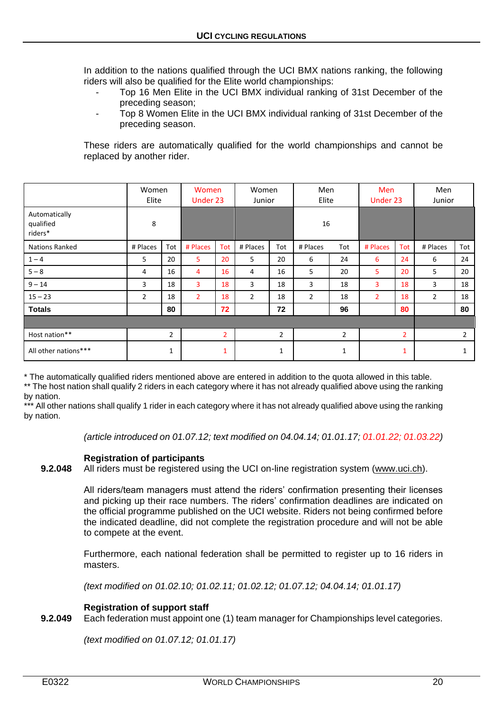In addition to the nations qualified through the UCI BMX nations ranking, the following riders will also be qualified for the Elite world championships:

- Top 16 Men Elite in the UCI BMX individual ranking of 31st December of the preceding season;
- Top 8 Women Elite in the UCI BMX individual ranking of 31st December of the preceding season.

These riders are automatically qualified for the world championships and cannot be replaced by another rider.

|                                       | Women<br>Elite |                | Women<br>Under 23 |                | Women<br>Junior |                | Men<br>Elite   |                | <b>Men</b><br>Under 23 |                | Men<br>Junior  |                |
|---------------------------------------|----------------|----------------|-------------------|----------------|-----------------|----------------|----------------|----------------|------------------------|----------------|----------------|----------------|
| Automatically<br>qualified<br>riders* | 8              |                |                   |                |                 |                | 16             |                |                        |                |                |                |
| <b>Nations Ranked</b>                 | # Places       | Tot            | # Places          | Tot            | # Places        | Tot            | # Places       | Tot            | # Places               | Tot            | # Places       | Tot            |
| $1 - 4$                               | 5              | 20             | 5                 | 20             | 5               | 20             | 6              | 24             | 6                      | 24             | 6              | 24             |
| $5 - 8$                               | 4              | 16             | 4                 | 16             | 4               | 16             | 5              | 20             | 5                      | 20             | 5              | 20             |
| $9 - 14$                              | 3              | 18             | 3                 | 18             | 3               | 18             | 3              | 18             | 3                      | 18             | 3              | 18             |
| $15 - 23$                             | $\overline{2}$ | 18             | $\overline{2}$    | 18             | $\overline{2}$  | 18             | $\overline{2}$ | 18             | $\overline{2}$         | 18             | $\overline{2}$ | 18             |
| <b>Totals</b>                         |                | 80             |                   | 72             |                 | 72             |                | 96             |                        | 80             |                | 80             |
|                                       |                |                |                   |                |                 |                |                |                |                        |                |                |                |
| Host nation**                         |                | $\overline{2}$ |                   | $\overline{2}$ |                 | $\overline{2}$ |                | $\overline{2}$ |                        | $\overline{2}$ |                | $\overline{2}$ |
| All other nations***<br>1             |                | 1              |                   | 1              |                 | 1              |                | $\mathbf{1}$   |                        |                |                |                |

\* The automatically qualified riders mentioned above are entered in addition to the quota allowed in this table.

\*\* The host nation shall qualify 2 riders in each category where it has not already qualified above using the ranking by nation.

\*\*\* All other nations shall qualify 1 rider in each category where it has not already qualified above using the ranking by nation.

*(article introduced on 01.07.12; text modified on 04.04.14; 01.01.17; 01.01.22; 01.03.22)*

# **Registration of participants**

**9.2.048** All riders must be registered using the UCI on-line registration system [\(www.uci.ch\)](http://www.uci.ch/).

All riders/team managers must attend the riders' confirmation presenting their licenses and picking up their race numbers. The riders' confirmation deadlines are indicated on the official programme published on the UCI website. Riders not being confirmed before the indicated deadline, did not complete the registration procedure and will not be able to compete at the event.

Furthermore, each national federation shall be permitted to register up to 16 riders in masters.

*(text modified on 01.02.10; 01.02.11; 01.02.12; 01.07.12; 04.04.14; 01.01.17)*

# **Registration of support staff**

**9.2.049** Each federation must appoint one (1) team manager for Championships level categories.

*(text modified on 01.07.12; 01.01.17)*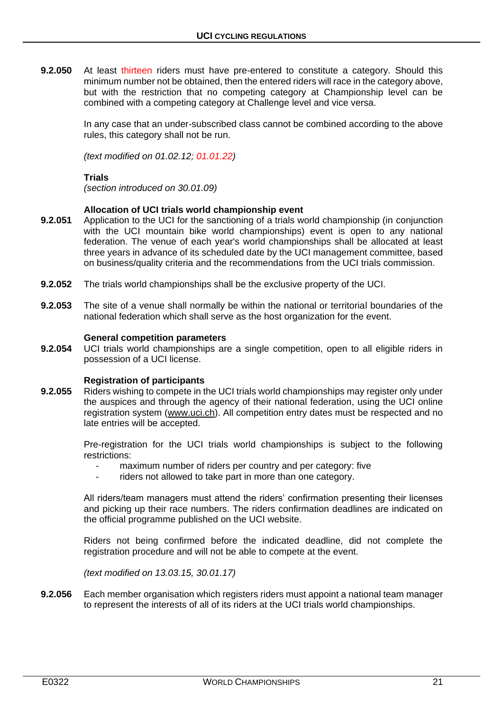**9.2.050** At least thirteen riders must have pre-entered to constitute a category. Should this minimum number not be obtained, then the entered riders will race in the category above, but with the restriction that no competing category at Championship level can be combined with a competing category at Challenge level and vice versa.

> In any case that an under-subscribed class cannot be combined according to the above rules, this category shall not be run.

*(text modified on 01.02.12; 01.01.22)*

### **Trials**

*(section introduced on 30.01.09)*

#### **Allocation of UCI trials world championship event**

- **9.2.051** Application to the UCI for the sanctioning of a trials world championship (in conjunction with the UCI mountain bike world championships) event is open to any national federation. The venue of each year's world championships shall be allocated at least three years in advance of its scheduled date by the UCI management committee, based on business/quality criteria and the recommendations from the UCI trials commission.
- **9.2.052** The trials world championships shall be the exclusive property of the UCI.
- **9.2.053** The site of a venue shall normally be within the national or territorial boundaries of the national federation which shall serve as the host organization for the event.

#### **General competition parameters**

**9.2.054** UCI trials world championships are a single competition, open to all eligible riders in possession of a UCI license.

#### **Registration of participants**

**9.2.055** Riders wishing to compete in the UCI trials world championships may register only under the auspices and through the agency of their national federation, using the UCI online registration system [\(www.uci.ch\)](http://www.uci.ch/). All competition entry dates must be respected and no late entries will be accepted.

> Pre-registration for the UCI trials world championships is subject to the following restrictions:

- maximum number of riders per country and per category: five
- riders not allowed to take part in more than one category.

All riders/team managers must attend the riders' confirmation presenting their licenses and picking up their race numbers. The riders confirmation deadlines are indicated on the official programme published on the UCI website.

Riders not being confirmed before the indicated deadline, did not complete the registration procedure and will not be able to compete at the event.

*(text modified on 13.03.15, 30.01.17)*

**9.2.056** Each member organisation which registers riders must appoint a national team manager to represent the interests of all of its riders at the UCI trials world championships.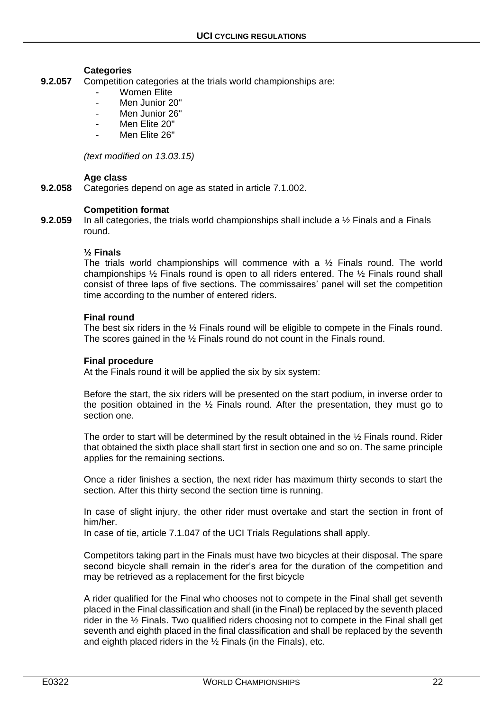#### **Categories**

- **9.2.057** Competition categories at the trials world championships are:
	- Women Elite
	- Men Junior 20"
	- Men Junior 26"
	- Men Flite 20"
	- Men Elite 26"

*(text modified on 13.03.15)*

#### **Age class**

**9.2.058** Categories depend on age as stated in article 7.1.002.

#### **Competition format**

**9.2.059** In all categories, the trials world championships shall include a ½ Finals and a Finals round.

#### **½ Finals**

The trials world championships will commence with a  $\frac{1}{2}$  Finals round. The world championships ½ Finals round is open to all riders entered. The ½ Finals round shall consist of three laps of five sections. The commissaires' panel will set the competition time according to the number of entered riders.

#### **Final round**

The best six riders in the ½ Finals round will be eligible to compete in the Finals round. The scores gained in the ½ Finals round do not count in the Finals round.

#### **Final procedure**

At the Finals round it will be applied the six by six system:

Before the start, the six riders will be presented on the start podium, in inverse order to the position obtained in the  $\frac{1}{2}$  Finals round. After the presentation, they must go to section one.

The order to start will be determined by the result obtained in the ½ Finals round. Rider that obtained the sixth place shall start first in section one and so on. The same principle applies for the remaining sections.

Once a rider finishes a section, the next rider has maximum thirty seconds to start the section. After this thirty second the section time is running.

In case of slight injury, the other rider must overtake and start the section in front of him/her.

In case of tie, article 7.1.047 of the UCI Trials Regulations shall apply.

Competitors taking part in the Finals must have two bicycles at their disposal. The spare second bicycle shall remain in the rider's area for the duration of the competition and may be retrieved as a replacement for the first bicycle

A rider qualified for the Final who chooses not to compete in the Final shall get seventh placed in the Final classification and shall (in the Final) be replaced by the seventh placed rider in the ½ Finals. Two qualified riders choosing not to compete in the Final shall get seventh and eighth placed in the final classification and shall be replaced by the seventh and eighth placed riders in the ½ Finals (in the Finals), etc.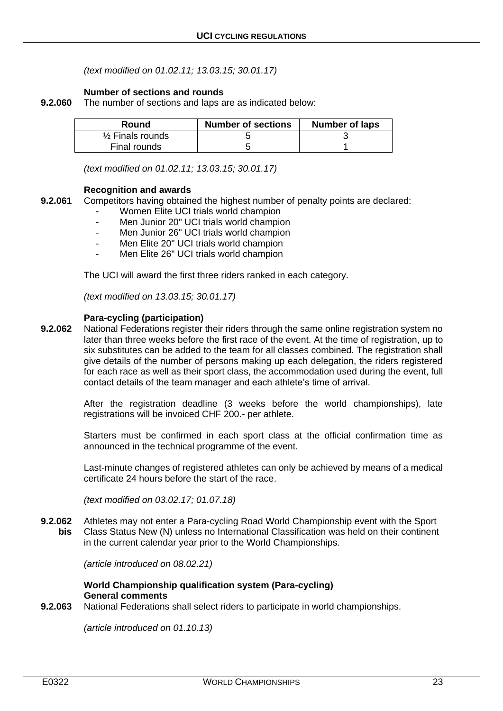*(text modified on 01.02.11; 13.03.15; 30.01.17)*

### **Number of sections and rounds**

**9.2.060** The number of sections and laps are as indicated below:

| Round                       | <b>Number of sections</b> | <b>Number of laps</b> |
|-----------------------------|---------------------------|-----------------------|
| $\frac{1}{2}$ Finals rounds |                           |                       |
| Final rounds                |                           |                       |

*(text modified on 01.02.11; 13.03.15; 30.01.17)*

#### **Recognition and awards**

- **9.2.061** Competitors having obtained the highest number of penalty points are declared:
	- Women Elite UCI trials world champion
	- Men Junior 20" UCI trials world champion
	- Men Junior 26" UCI trials world champion
	- Men Elite 20" UCI trials world champion
	- Men Elite 26" UCI trials world champion

The UCI will award the first three riders ranked in each category.

*(text modified on 13.03.15; 30.01.17)*

#### **Para-cycling (participation)**

**9.2.062** National Federations register their riders through the same online registration system no later than three weeks before the first race of the event. At the time of registration, up to six substitutes can be added to the team for all classes combined. The registration shall give details of the number of persons making up each delegation, the riders registered for each race as well as their sport class, the accommodation used during the event, full contact details of the team manager and each athlete's time of arrival.

> After the registration deadline (3 weeks before the world championships), late registrations will be invoiced CHF 200.- per athlete.

> Starters must be confirmed in each sport class at the official confirmation time as announced in the technical programme of the event.

> Last-minute changes of registered athletes can only be achieved by means of a medical certificate 24 hours before the start of the race.

*(text modified on 03.02.17; 01.07.18)*

**9.2.062** Athletes may not enter a Para-cycling Road World Championship event with the Sport **bis** Class Status New (N) unless no International Classification was held on their continent in the current calendar year prior to the World Championships.

*(article introduced on 08.02.21)*

#### **World Championship qualification system (Para-cycling) General comments**

**9.2.063** National Federations shall select riders to participate in world championships.

*(article introduced on 01.10.13)*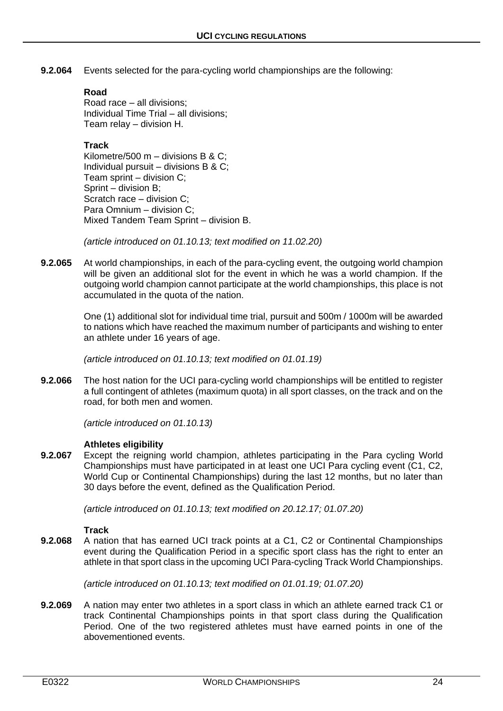**9.2.064** Events selected for the para-cycling world championships are the following:

# **Road**

Road race – all divisions; Individual Time Trial – all divisions; Team relay – division H.

# **Track**

Kilometre/500 m – divisions B & C; Individual pursuit – divisions B & C; Team sprint – division C; Sprint – division B; Scratch race – division C; Para Omnium – division C; Mixed Tandem Team Sprint – division B.

*(article introduced on 01.10.13; text modified on 11.02.20)*

**9.2.065** At world championships, in each of the para-cycling event, the outgoing world champion will be given an additional slot for the event in which he was a world champion. If the outgoing world champion cannot participate at the world championships, this place is not accumulated in the quota of the nation.

> One (1) additional slot for individual time trial, pursuit and 500m / 1000m will be awarded to nations which have reached the maximum number of participants and wishing to enter an athlete under 16 years of age.

*(article introduced on 01.10.13; text modified on 01.01.19)*

**9.2.066** The host nation for the UCI para-cycling world championships will be entitled to register a full contingent of athletes (maximum quota) in all sport classes, on the track and on the road, for both men and women.

*(article introduced on 01.10.13)*

# **Athletes eligibility**

**9.2.067** Except the reigning world champion, athletes participating in the Para cycling World Championships must have participated in at least one UCI Para cycling event (C1, C2, World Cup or Continental Championships) during the last 12 months, but no later than 30 days before the event, defined as the Qualification Period.

*(article introduced on 01.10.13; text modified on 20.12.17; 01.07.20)*

# **Track**

**9.2.068** A nation that has earned UCI track points at a C1, C2 or Continental Championships event during the Qualification Period in a specific sport class has the right to enter an athlete in that sport class in the upcoming UCI Para‐cycling Track World Championships.

*(article introduced on 01.10.13; text modified on 01.01.19; 01.07.20)*

**9.2.069** A nation may enter two athletes in a sport class in which an athlete earned track C1 or track Continental Championships points in that sport class during the Qualification Period. One of the two registered athletes must have earned points in one of the abovementioned events.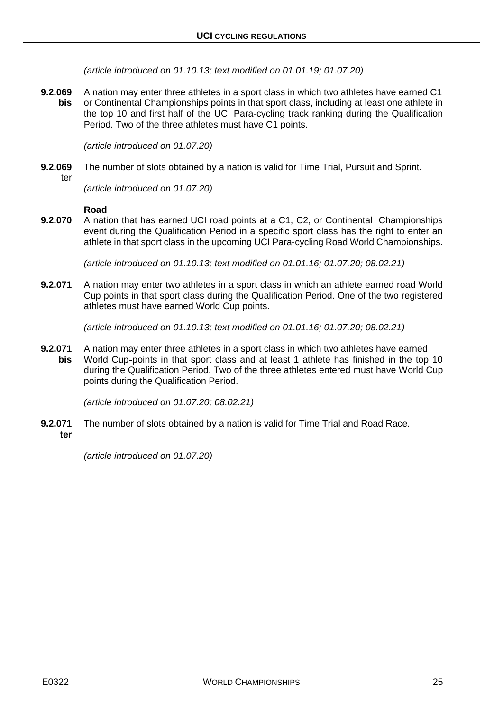*(article introduced on 01.10.13; text modified on 01.01.19; 01.07.20)*

**9.2.069** A nation may enter three athletes in a sport class in which two athletes have earned C1 **bis** or Continental Championships points in that sport class, including at least one athlete in the top 10 and first half of the UCI Para‐cycling track ranking during the Qualification Period. Two of the three athletes must have C1 points.

*(article introduced on 01.07.20)*

**9.2.069** The number of slots obtained by a nation is valid for Time Trial, Pursuit and Sprint.

ter

*(article introduced on 01.07.20)*

#### **Road**

**9.2.070** A nation that has earned UCI road points at a C1, C2, or Continental Championships event during the Qualification Period in a specific sport class has the right to enter an athlete in that sport class in the upcoming UCI Para‐cycling Road World Championships.

*(article introduced on 01.10.13; text modified on 01.01.16; 01.07.20; 08.02.21)*

**9.2.071** A nation may enter two athletes in a sport class in which an athlete earned road World Cup points in that sport class during the Qualification Period. One of the two registered athletes must have earned World Cup points.

*(article introduced on 01.10.13; text modified on 01.01.16; 01.07.20; 08.02.21)*

**9.2.071** A nation may enter three athletes in a sport class in which two athletes have earned **bis** World Cup-points in that sport class and at least 1 athlete has finished in the top 10 during the Qualification Period. Two of the three athletes entered must have World Cup points during the Qualification Period.

*(article introduced on 01.07.20; 08.02.21)*

- **9.2.071** The number of slots obtained by a nation is valid for Time Trial and Road Race.
- **ter**

*(article introduced on 01.07.20)*